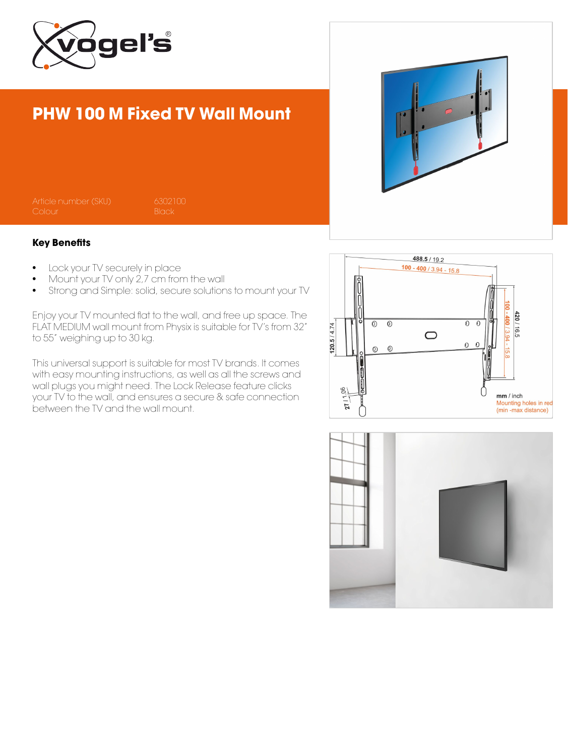

## PHW 100 M Fixed TV Wall Mount

## Key Benefits

- Lock your TV securely in place
- Mount your TV only 2,7 cm from the wall
- Strong and Simple: solid, secure solutions to mount your TV

Enjoy your TV mounted flat to the wall, and free up space. The FLAT MEDIUM wall mount from Physix is suitable for TV's from 32" to 55" weighing up to 30 kg.

This universal support is suitable for most TV brands. It comes with easy mounting instructions, as well as all the screws and wall plugs you might need. The Lock Release feature clicks your TV to the wall, and ensures a secure & safe connection between the TV and the wall mount.